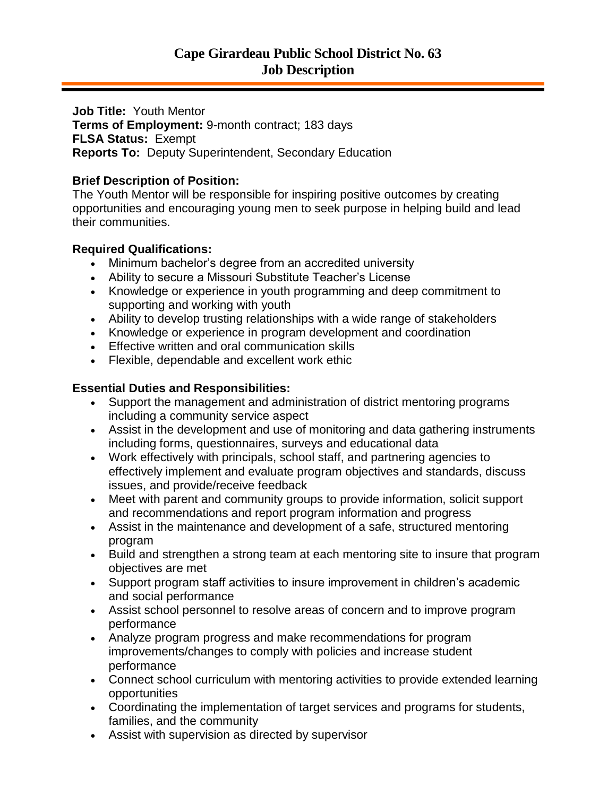**Job Title:** Youth Mentor **Terms of Employment:** 9-month contract; 183 days **FLSA Status:** Exempt **Reports To:** Deputy Superintendent, Secondary Education

## **Brief Description of Position:**

The Youth Mentor will be responsible for inspiring positive outcomes by creating opportunities and encouraging young men to seek purpose in helping build and lead their communities.

## **Required Qualifications:**

- Minimum bachelor's degree from an accredited university
- Ability to secure a Missouri Substitute Teacher's License
- Knowledge or experience in youth programming and deep commitment to supporting and working with youth
- Ability to develop trusting relationships with a wide range of stakeholders
- Knowledge or experience in program development and coordination
- Effective written and oral communication skills
- Flexible, dependable and excellent work ethic

# **Essential Duties and Responsibilities:**

- Support the management and administration of district mentoring programs including a community service aspect
- Assist in the development and use of monitoring and data gathering instruments including forms, questionnaires, surveys and educational data
- Work effectively with principals, school staff, and partnering agencies to effectively implement and evaluate program objectives and standards, discuss issues, and provide/receive feedback
- Meet with parent and community groups to provide information, solicit support and recommendations and report program information and progress
- Assist in the maintenance and development of a safe, structured mentoring program
- Build and strengthen a strong team at each mentoring site to insure that program objectives are met
- Support program staff activities to insure improvement in children's academic and social performance
- Assist school personnel to resolve areas of concern and to improve program performance
- Analyze program progress and make recommendations for program improvements/changes to comply with policies and increase student performance
- Connect school curriculum with mentoring activities to provide extended learning opportunities
- Coordinating the implementation of target services and programs for students, families, and the community
- Assist with supervision as directed by supervisor